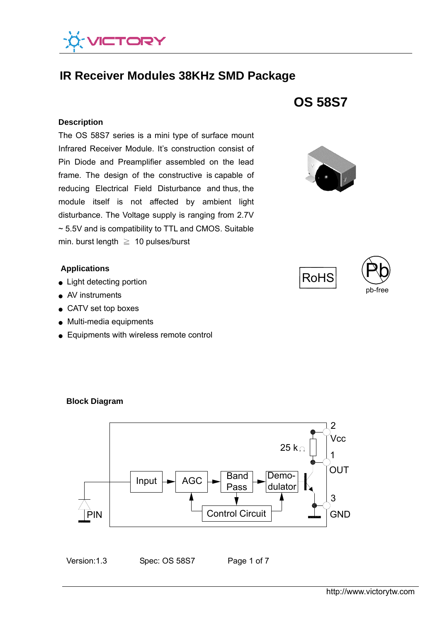

# **IR Receiver Modules 38KHz SMD Package**

#### **Description**

 ~ 5.5V and is compatibility to TTL and CMOS. Suitable The OS 58S7 series is a mini type of surface mount Infrared Receiver Module. It's construction consist of Pin Diode and Preamplifier assembled on the lead frame. The design of the constructive is capable of reducing Electrical Field Disturbance and thus, the module itself is not affected by ambient light disturbance. The Voltage supply is ranging from 2.7V min. burst length  $\geq 10$  pulses/burst

# **Applications**

- Light detecting portion
- AV instruments
- CATV set top boxes

**Block Diagram** 

- Multi-media equipments
- Equipments with wireless remote control









Input  $\blacktriangleright$  AGC  $\blacktriangleright$  Band Pass Demodulator  $\overrightarrow{P}$ IN  $\parallel$  Control Circuit 25 k $\Omega$  $\overline{2}$ Vcc OUT GND 1 3



Version:1.3 Spec: OS 58S7 Page 1 of 7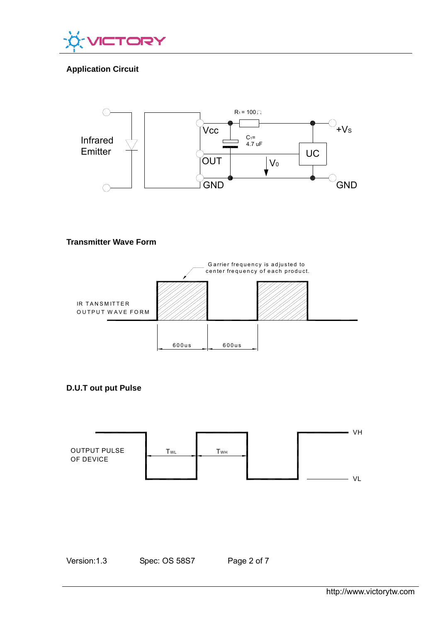

# **Application Circuit**



# **Transmitter Wave Form**



**D.U.T out put Pulse** 



Version:1.3 Spec: OS 58S7 Page 2 of 7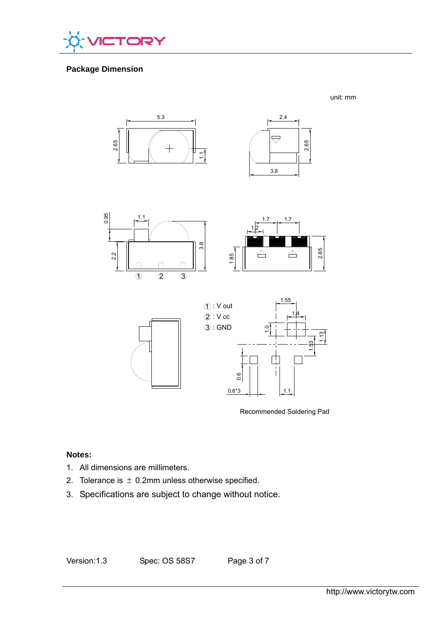

# **Package Dimension**

unit: mm









Recommended Soldering Pad

# **Notes:**

- 1. All dimensions are millimeters.
- 2. Tolerance is  $\pm$  0.2mm unless otherwise specified.
- 3. Specifications are subject to change without notice.

Version:1.3 Spec: OS 58S7 Page 3 of 7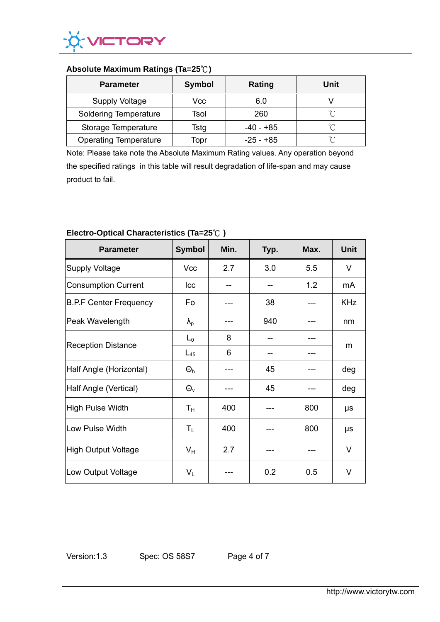

# **Absolute Maximum Ratings (Ta=25**℃**)**

| <b>Parameter</b>             | <b>Symbol</b> | Rating      | Unit   |
|------------------------------|---------------|-------------|--------|
| <b>Supply Voltage</b>        | Vcc           | 6.0         |        |
| <b>Soldering Temperature</b> | Tsol          | 260         | $\sim$ |
| Storage Temperature          | Tstg          | -40 - +85   | $\sim$ |
| <b>Operating Temperature</b> | Topr          | $-25 - +85$ | $\sim$ |

Note: Please take note the Absolute Maximum Rating values. Any operation beyond the specified ratings in this table will result degradation of life-span and may cause product to fail.

| <b>Parameter</b>              | <b>Symbol</b>     | Min. | Typ. | Max. | <b>Unit</b> |
|-------------------------------|-------------------|------|------|------|-------------|
| Supply Voltage                | Vcc               | 2.7  | 3.0  | 5.5  | $\vee$      |
| Consumption Current           | Icc               |      |      | 1.2  | mA          |
| <b>B.P.F Center Frequency</b> | Fo                |      | 38   |      | <b>KHz</b>  |
| Peak Wavelength               | $\lambda_{\rm p}$ |      | 940  |      | nm          |
| <b>Reception Distance</b>     | $L_0$             | 8    |      |      | m           |
|                               | $L_{45}$          | 6    |      |      |             |
| Half Angle (Horizontal)       | $\Theta_h$        |      | 45   |      | deg         |
| Half Angle (Vertical)         | $\Theta_{\rm v}$  |      | 45   |      | deg         |
| High Pulse Width              | Т <sub>н</sub>    | 400  |      | 800  | μs          |
| Low Pulse Width               | $T_{L}$           | 400  |      | 800  | μs          |
| High Output Voltage           | $V_{H}$           | 2.7  |      |      | V           |
| Low Output Voltage            | $V_L$             |      | 0.2  | 0.5  | V           |

# **Electro-Optical Characteristics (Ta=25**℃ **)**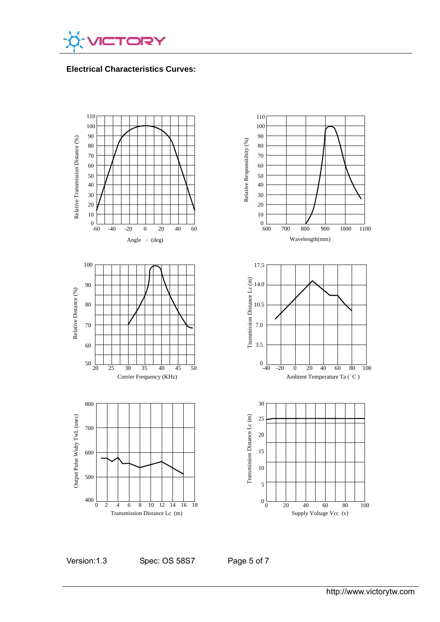

**Electrical Characteristics Curves:** 



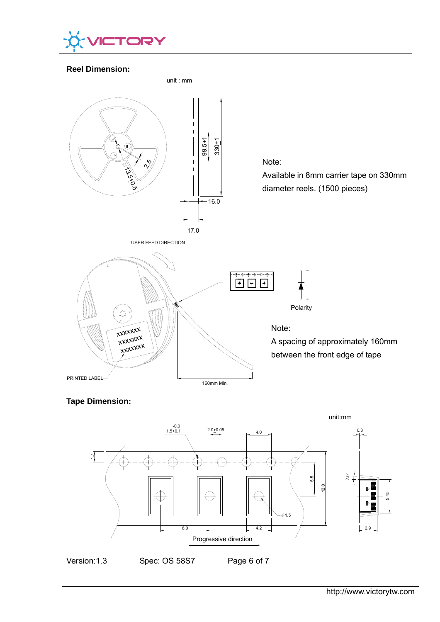

# **Reel Dimension:**